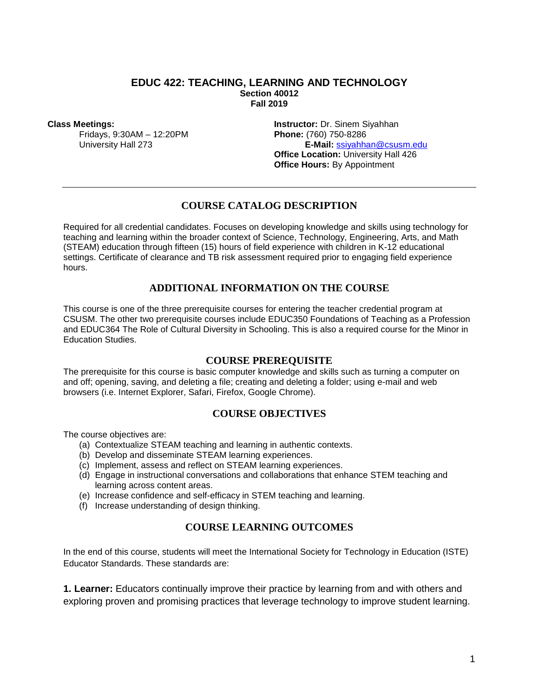#### **EDUC 422: TEACHING, LEARNING AND TECHNOLOGY Section 40012 Fall 2019**

#### **Class Meetings:**

Fridays, 9:30AM – 12:20PM University Hall 273

**Instructor:** Dr. Sinem Siyahhan **Phone:** (760) 750-8286 **E-Mail:** [ssiyahhan@csusm.edu](mailto:ssiyahhan@csusm.edu)  **Office Location:** University Hall 426 **Office Hours: By Appointment** 

## **COURSE CATALOG DESCRIPTION**

Required for all credential candidates. Focuses on developing knowledge and skills using technology for teaching and learning within the broader context of Science, Technology, Engineering, Arts, and Math (STEAM) education through fifteen (15) hours of field experience with children in K-12 educational settings. Certificate of clearance and TB risk assessment required prior to engaging field experience hours.

## **ADDITIONAL INFORMATION ON THE COURSE**

This course is one of the three prerequisite courses for entering the teacher credential program at CSUSM. The other two prerequisite courses include EDUC350 Foundations of Teaching as a Profession and EDUC364 The Role of Cultural Diversity in Schooling. This is also a required course for the Minor in Education Studies.

#### **COURSE PREREQUISITE**

The prerequisite for this course is basic computer knowledge and skills such as turning a computer on and off; opening, saving, and deleting a file; creating and deleting a folder; using e-mail and web browsers (i.e. Internet Explorer, Safari, Firefox, Google Chrome).

### **COURSE OBJECTIVES**

The course objectives are:

- (a) Contextualize STEAM teaching and learning in authentic contexts.
- (b) Develop and disseminate STEAM learning experiences.
- (c) Implement, assess and reflect on STEAM learning experiences.
- (d) Engage in instructional conversations and collaborations that enhance STEM teaching and learning across content areas.
- (e) Increase confidence and self-efficacy in STEM teaching and learning.
- (f) Increase understanding of design thinking.

## **COURSE LEARNING OUTCOMES**

In the end of this course, students will meet the International Society for Technology in Education (ISTE) Educator Standards. These standards are:

**1. Learner:** Educators continually improve their practice by learning from and with others and exploring proven and promising practices that leverage technology to improve student learning.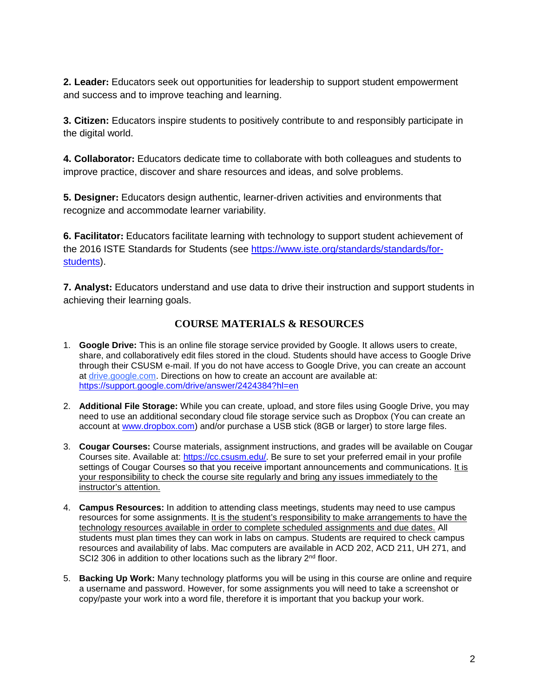**2. Leader:** Educators seek out opportunities for leadership to support student empowerment and success and to improve teaching and learning.

**3. Citizen:** Educators inspire students to positively contribute to and responsibly participate in the digital world.

**4. Collaborator:** Educators dedicate time to collaborate with both colleagues and students to improve practice, discover and share resources and ideas, and solve problems.

**5. Designer:** Educators design authentic, learner-driven activities and environments that recognize and accommodate learner variability.

**6. Facilitator:** Educators facilitate learning with technology to support student achievement of the 2016 ISTE Standards for Students (see [https://www.iste.org/standards/standards/for](https://www.iste.org/standards/standards/for-students)[students\)](https://www.iste.org/standards/standards/for-students).

**7. Analyst:** Educators understand and use data to drive their instruction and support students in achieving their learning goals.

# **COURSE MATERIALS & RESOURCES**

- 1. **Google Drive:** This is an online file storage service provided by Google. It allows users to create, share, and collaboratively edit files stored in the cloud. Students should have access to Google Drive through their CSUSM e-mail. If you do not have access to Google Drive, you can create an account at drive.google.com. Directions on how to create an account are available at: <https://support.google.com/drive/answer/2424384?hl=en>
- 2. **Additional File Storage:** While you can create, upload, and store files using Google Drive, you may need to use an additional secondary cloud file storage service such as Dropbox (You can create an account at [www.dropbox.com\)](http://www.dropbox.com/) and/or purchase a USB stick (8GB or larger) to store large files.
- 3. **Cougar Courses:** Course materials, assignment instructions, and grades will be available on Cougar Courses site. Available at: [https://cc.csusm.edu/.](https://cc.csusm.edu/) Be sure to set your preferred email in your profile settings of Cougar Courses so that you receive important announcements and communications. It is your responsibility to check the course site regularly and bring any issues immediately to the instructor's attention.
- 4. **Campus Resources:** In addition to attending class meetings, students may need to use campus resources for some assignments. It is the student's responsibility to make arrangements to have the technology resources available in order to complete scheduled assignments and due dates. All students must plan times they can work in labs on campus. Students are required to check campus resources and availability of labs. Mac computers are available in ACD 202, ACD 211, UH 271, and SCI2 306 in addition to other locations such as the library 2<sup>nd</sup> floor.
- 5. **Backing Up Work:** Many technology platforms you will be using in this course are online and require a username and password. However, for some assignments you will need to take a screenshot or copy/paste your work into a word file, therefore it is important that you backup your work.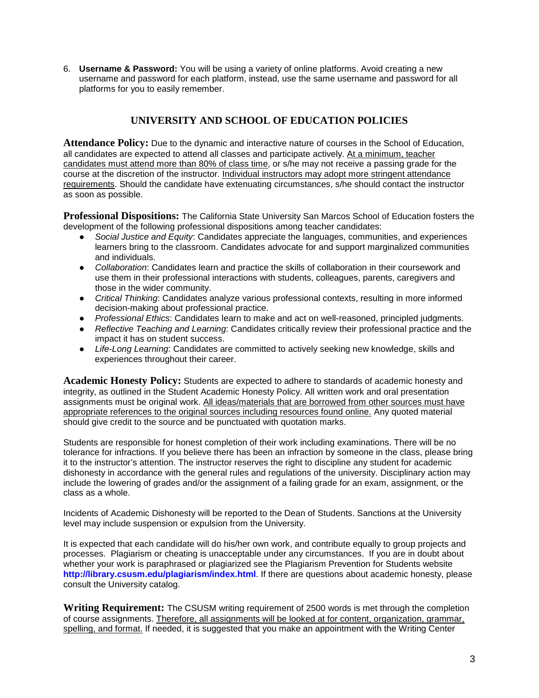6. **Username & Password:** You will be using a variety of online platforms. Avoid creating a new username and password for each platform, instead, use the same username and password for all platforms for you to easily remember.

# **UNIVERSITY AND SCHOOL OF EDUCATION POLICIES**

**Attendance Policy:** Due to the dynamic and interactive nature of courses in the School of Education, all candidates are expected to attend all classes and participate actively. At a minimum, teacher candidates must attend more than 80% of class time, or s/he may not receive a passing grade for the course at the discretion of the instructor. Individual instructors may adopt more stringent attendance requirements. Should the candidate have extenuating circumstances, s/he should contact the instructor as soon as possible.

**Professional Dispositions:** The California State University San Marcos School of Education fosters the development of the following professional dispositions among teacher candidates:

- *Social Justice and Equity*: Candidates appreciate the languages, communities, and experiences learners bring to the classroom. Candidates advocate for and support marginalized communities and individuals.
- *Collaboration*: Candidates learn and practice the skills of collaboration in their coursework and use them in their professional interactions with students, colleagues, parents, caregivers and those in the wider community.
- *Critical Thinking*: Candidates analyze various professional contexts, resulting in more informed decision-making about professional practice.
- *Professional Ethics*: Candidates learn to make and act on well-reasoned, principled judgments.
- *Reflective Teaching and Learning*: Candidates critically review their professional practice and the impact it has on student success.
- *Life-Long Learning*: Candidates are committed to actively seeking new knowledge, skills and experiences throughout their career.

**Academic Honesty Policy:** Students are expected to adhere to standards of academic honesty and integrity, as outlined in the Student Academic Honesty Policy. All written work and oral presentation assignments must be original work. All ideas/materials that are borrowed from other sources must have appropriate references to the original sources including resources found online. Any quoted material should give credit to the source and be punctuated with quotation marks.

Students are responsible for honest completion of their work including examinations. There will be no tolerance for infractions. If you believe there has been an infraction by someone in the class, please bring it to the instructor's attention. The instructor reserves the right to discipline any student for academic dishonesty in accordance with the general rules and regulations of the university. Disciplinary action may include the lowering of grades and/or the assignment of a failing grade for an exam, assignment, or the class as a whole.

Incidents of Academic Dishonesty will be reported to the Dean of Students. Sanctions at the University level may include suspension or expulsion from the University.

It is expected that each candidate will do his/her own work, and contribute equally to group projects and processes. Plagiarism or cheating is unacceptable under any circumstances. If you are in doubt about whether your work is paraphrased or plagiarized see the Plagiarism Prevention for Students website **<http://library.csusm.edu/plagiarism/index.html>**. If there are questions about academic honesty, please consult the University catalog.

**Writing Requirement:** The CSUSM writing requirement of 2500 words is met through the completion of course assignments. Therefore, all assignments will be looked at for content, organization, grammar, spelling, and format. If needed, it is suggested that you make an appointment with the Writing Center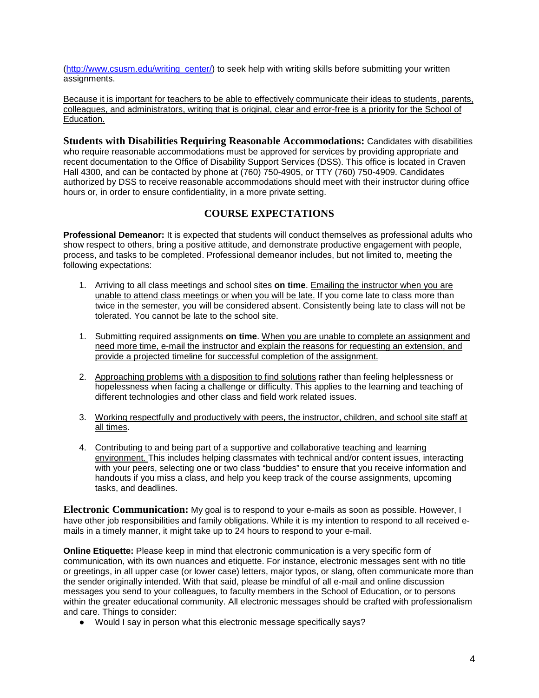[\(http://www.csusm.edu/writing\\_center/\)](http://www.csusm.edu/writing_center/) to seek help with writing skills before submitting your written assignments.

Because it is important for teachers to be able to effectively communicate their ideas to students, parents, colleagues, and administrators, writing that is original, clear and error-free is a priority for the School of Education.

**Students with Disabilities Requiring Reasonable Accommodations:** Candidates with disabilities who require reasonable accommodations must be approved for services by providing appropriate and recent documentation to the Office of Disability Support Services (DSS). This office is located in Craven Hall 4300, and can be contacted by phone at (760) 750-4905, or TTY (760) 750-4909. Candidates authorized by DSS to receive reasonable accommodations should meet with their instructor during office hours or, in order to ensure confidentiality, in a more private setting.

# **COURSE EXPECTATIONS**

**Professional Demeanor:** It is expected that students will conduct themselves as professional adults who show respect to others, bring a positive attitude, and demonstrate productive engagement with people, process, and tasks to be completed. Professional demeanor includes, but not limited to, meeting the following expectations:

- 1. Arriving to all class meetings and school sites **on time**. Emailing the instructor when you are unable to attend class meetings or when you will be late. If you come late to class more than twice in the semester, you will be considered absent. Consistently being late to class will not be tolerated. You cannot be late to the school site.
- 1. Submitting required assignments **on time**. When you are unable to complete an assignment and need more time, e-mail the instructor and explain the reasons for requesting an extension, and provide a projected timeline for successful completion of the assignment.
- 2. Approaching problems with a disposition to find solutions rather than feeling helplessness or hopelessness when facing a challenge or difficulty. This applies to the learning and teaching of different technologies and other class and field work related issues.
- 3. Working respectfully and productively with peers, the instructor, children, and school site staff at all times.
- 4. Contributing to and being part of a supportive and collaborative teaching and learning environment. This includes helping classmates with technical and/or content issues, interacting with your peers, selecting one or two class "buddies" to ensure that you receive information and handouts if you miss a class, and help you keep track of the course assignments, upcoming tasks, and deadlines.

**Electronic Communication:** My goal is to respond to your e-mails as soon as possible. However, I have other job responsibilities and family obligations. While it is my intention to respond to all received emails in a timely manner, it might take up to 24 hours to respond to your e-mail.

**Online Etiquette:** Please keep in mind that electronic communication is a very specific form of communication, with its own nuances and etiquette. For instance, electronic messages sent with no title or greetings, in all upper case (or lower case) letters, major typos, or slang, often communicate more than the sender originally intended. With that said, please be mindful of all e-mail and online discussion messages you send to your colleagues, to faculty members in the School of Education, or to persons within the greater educational community. All electronic messages should be crafted with professionalism and care. Things to consider:

● Would I say in person what this electronic message specifically says?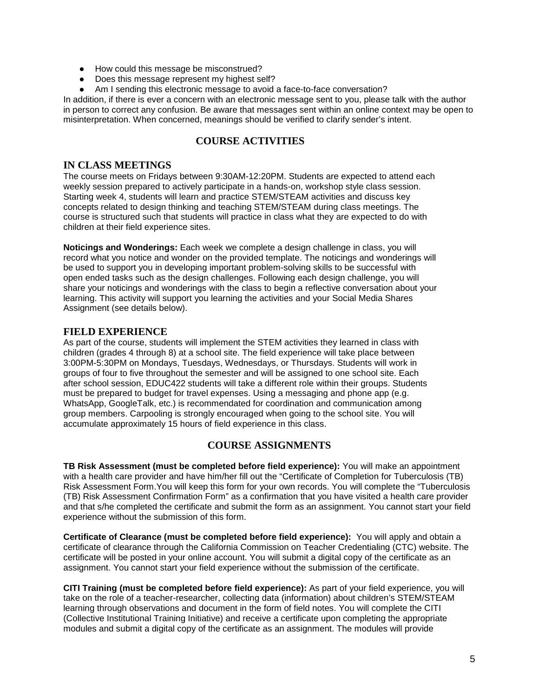- How could this message be misconstrued?
- Does this message represent my highest self?
- Am I sending this electronic message to avoid a face-to-face conversation?

In addition, if there is ever a concern with an electronic message sent to you, please talk with the author in person to correct any confusion. Be aware that messages sent within an online context may be open to misinterpretation. When concerned, meanings should be verified to clarify sender's intent.

## **COURSE ACTIVITIES**

## **IN CLASS MEETINGS**

The course meets on Fridays between 9:30AM-12:20PM. Students are expected to attend each weekly session prepared to actively participate in a hands-on, workshop style class session. Starting week 4, students will learn and practice STEM/STEAM activities and discuss key concepts related to design thinking and teaching STEM/STEAM during class meetings. The course is structured such that students will practice in class what they are expected to do with children at their field experience sites.

**Noticings and Wonderings:** Each week we complete a design challenge in class, you will record what you notice and wonder on the provided template. The noticings and wonderings will be used to support you in developing important problem-solving skills to be successful with open ended tasks such as the design challenges. Following each design challenge, you will share your noticings and wonderings with the class to begin a reflective conversation about your learning. This activity will support you learning the activities and your Social Media Shares Assignment (see details below).

## **FIELD EXPERIENCE**

As part of the course, students will implement the STEM activities they learned in class with children (grades 4 through 8) at a school site. The field experience will take place between 3:00PM-5:30PM on Mondays, Tuesdays, Wednesdays, or Thursdays. Students will work in groups of four to five throughout the semester and will be assigned to one school site. Each after school session, EDUC422 students will take a different role within their groups. Students must be prepared to budget for travel expenses. Using a messaging and phone app (e.g. WhatsApp, GoogleTalk, etc.) is recommendated for coordination and communication among group members. Carpooling is strongly encouraged when going to the school site. You will accumulate approximately 15 hours of field experience in this class.

## **COURSE ASSIGNMENTS**

**TB Risk Assessment (must be completed before field experience):** You will make an appointment with a health care provider and have him/her fill out the "Certificate of Completion for Tuberculosis (TB) Risk Assessment Form.You will keep this form for your own records. You will complete the "Tuberculosis (TB) Risk Assessment Confirmation Form" as a confirmation that you have visited a health care provider and that s/he completed the certificate and submit the form as an assignment. You cannot start your field experience without the submission of this form.

**Certificate of Clearance (must be completed before field experience):** You will apply and obtain a certificate of clearance through the California Commission on Teacher Credentialing (CTC) website. The certificate will be posted in your online account. You will submit a digital copy of the certificate as an assignment. You cannot start your field experience without the submission of the certificate.

**CITI Training (must be completed before field experience):** As part of your field experience, you will take on the role of a teacher-researcher, collecting data (information) about children's STEM/STEAM learning through observations and document in the form of field notes. You will complete the CITI (Collective Institutional Training Initiative) and receive a certificate upon completing the appropriate modules and submit a digital copy of the certificate as an assignment. The modules will provide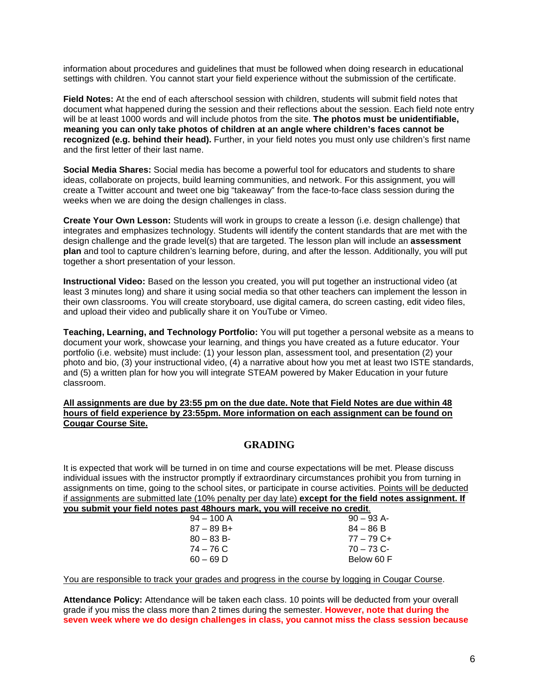information about procedures and guidelines that must be followed when doing research in educational settings with children. You cannot start your field experience without the submission of the certificate.

**Field Notes:** At the end of each afterschool session with children, students will submit field notes that document what happened during the session and their reflections about the session. Each field note entry will be at least 1000 words and will include photos from the site. **The photos must be unidentifiable, meaning you can only take photos of children at an angle where children's faces cannot be recognized (e.g. behind their head).** Further, in your field notes you must only use children's first name and the first letter of their last name.

**Social Media Shares:** Social media has become a powerful tool for educators and students to share ideas, collaborate on projects, build learning communities, and network. For this assignment, you will create a Twitter account and tweet one big "takeaway" from the face-to-face class session during the weeks when we are doing the design challenges in class.

**Create Your Own Lesson:** Students will work in groups to create a lesson (i.e. design challenge) that integrates and emphasizes technology. Students will identify the content standards that are met with the design challenge and the grade level(s) that are targeted. The lesson plan will include an **assessment plan** and tool to capture children's learning before, during, and after the lesson. Additionally, you will put together a short presentation of your lesson.

**Instructional Video:** Based on the lesson you created, you will put together an instructional video (at least 3 minutes long) and share it using social media so that other teachers can implement the lesson in their own classrooms. You will create storyboard, use digital camera, do screen casting, edit video files, and upload their video and publically share it on YouTube or Vimeo.

**Teaching, Learning, and Technology Portfolio:** You will put together a personal website as a means to document your work, showcase your learning, and things you have created as a future educator. Your portfolio (i.e. website) must include: (1) your lesson plan, assessment tool, and presentation (2) your photo and bio, (3) your instructional video, (4) a narrative about how you met at least two ISTE standards, and (5) a written plan for how you will integrate STEAM powered by Maker Education in your future classroom.

#### **All assignments are due by 23:55 pm on the due date. Note that Field Notes are due within 48 hours of field experience by 23:55pm. More information on each assignment can be found on Cougar Course Site.**

## **GRADING**

It is expected that work will be turned in on time and course expectations will be met. Please discuss individual issues with the instructor promptly if extraordinary circumstances prohibit you from turning in assignments on time, going to the school sites, or participate in course activities. Points will be deducted if assignments are submitted late (10% penalty per day late) **except for the field notes assignment. If you submit** 

| nit your field notes past 48hours mark, you will receive no credit. |              |
|---------------------------------------------------------------------|--------------|
| $94 - 100$ A                                                        | $90 - 93$ A- |
| $87 - 89B +$                                                        | $84 - 86 B$  |
| $80 - 83 B$                                                         | $77 - 79$ C+ |
| 74 – 76 C                                                           | $70 - 73$ C- |
| $60 - 69$ D                                                         | Below 60 F   |
|                                                                     |              |

You are responsible to track your grades and progress in the course by logging in Cougar Course.

**Attendance Policy:** Attendance will be taken each class. 10 points will be deducted from your overall grade if you miss the class more than 2 times during the semester. **However, note that during the seven week where we do design challenges in class, you cannot miss the class session because**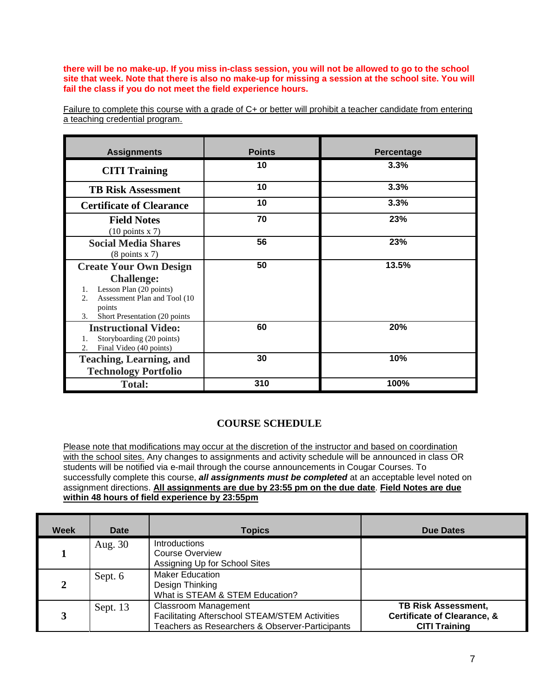**there will be no make-up. If you miss in-class session, you will not be allowed to go to the school site that week. Note that there is also no make-up for missing a session at the school site. You will fail the class if you do not meet the field experience hours.** 

| Failure to complete this course with a grade of C+ or better will prohibit a teacher candidate from entering |  |  |  |  |  |
|--------------------------------------------------------------------------------------------------------------|--|--|--|--|--|
| a teaching credential program.                                                                               |  |  |  |  |  |

| <b>Assignments</b>                                                                                                                                                                        | <b>Points</b> | Percentage |
|-------------------------------------------------------------------------------------------------------------------------------------------------------------------------------------------|---------------|------------|
| <b>CITI Training</b>                                                                                                                                                                      | 10            | 3.3%       |
| <b>TB Risk Assessment</b>                                                                                                                                                                 | 10            | 3.3%       |
| <b>Certificate of Clearance</b>                                                                                                                                                           | 10            | 3.3%       |
| <b>Field Notes</b><br>$(10 \text{ points x } 7)$                                                                                                                                          | 70            | 23%        |
| <b>Social Media Shares</b><br>$(8 \text{ points } x 7)$                                                                                                                                   | 56            | 23%        |
| <b>Create Your Own Design</b><br><b>Challenge:</b><br>Lesson Plan (20 points)<br>1.<br>Assessment Plan and Tool (10)<br>$\overline{2}$ .<br>points<br>Short Presentation (20 points<br>3. | 50            | 13.5%      |
| <b>Instructional Video:</b><br>Storyboarding (20 points)<br>1.<br>Final Video (40 points)<br>2.                                                                                           | 60            | 20%        |
| <b>Teaching, Learning, and</b><br><b>Technology Portfolio</b>                                                                                                                             | 30            | 10%        |
| <b>Total:</b>                                                                                                                                                                             | 310           | 100%       |

# **COURSE SCHEDULE**

Please note that modifications may occur at the discretion of the instructor and based on coordination with the school sites. Any changes to assignments and activity schedule will be announced in class OR students will be notified via e-mail through the course announcements in Cougar Courses. To successfully complete this course, *all assignments must be completed* at an acceptable level noted on assignment directions. **All assignments are due by 23:55 pm on the due date**. **Field Notes are due within 48 hours of field experience by 23:55pm**

| Week | Date     | <b>Topics</b>                                                                                                                    | <b>Due Dates</b>                                                                             |
|------|----------|----------------------------------------------------------------------------------------------------------------------------------|----------------------------------------------------------------------------------------------|
|      | Aug. 30  | <b>Introductions</b><br><b>Course Overview</b><br>Assigning Up for School Sites                                                  |                                                                                              |
|      | Sept. 6  | <b>Maker Education</b><br>Design Thinking<br>What is STEAM & STEM Education?                                                     |                                                                                              |
|      | Sept. 13 | <b>Classroom Management</b><br>Facilitating Afterschool STEAM/STEM Activities<br>Teachers as Researchers & Observer-Participants | <b>TB Risk Assessment,</b><br><b>Certificate of Clearance, &amp;</b><br><b>CITI Training</b> |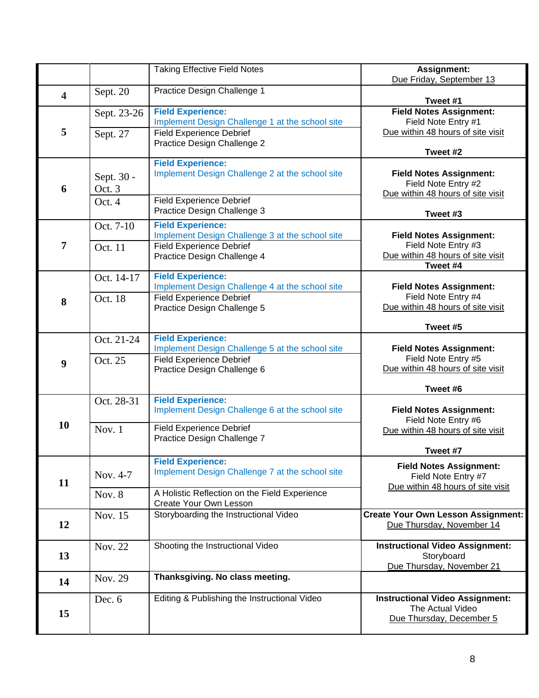|                         |                                | <b>Taking Effective Field Notes</b>                                                                                                                    | Assignment:<br>Due Friday, September 13                                                                |
|-------------------------|--------------------------------|--------------------------------------------------------------------------------------------------------------------------------------------------------|--------------------------------------------------------------------------------------------------------|
| $\overline{\mathbf{4}}$ | Sept. 20                       | Practice Design Challenge 1                                                                                                                            | Tweet #1                                                                                               |
| 5                       | Sept. 23-26<br>Sept. 27        | <b>Field Experience:</b><br>Implement Design Challenge 1 at the school site<br><b>Field Experience Debrief</b><br>Practice Design Challenge 2          | <b>Field Notes Assignment:</b><br>Field Note Entry #1<br>Due within 48 hours of site visit<br>Tweet #2 |
| 6                       | Sept. 30 -<br>Oct. 3<br>Oct. 4 | <b>Field Experience:</b><br>Implement Design Challenge 2 at the school site<br><b>Field Experience Debrief</b><br>Practice Design Challenge 3          | <b>Field Notes Assignment:</b><br>Field Note Entry #2<br>Due within 48 hours of site visit<br>Tweet #3 |
| 7                       | Oct. 7-10<br>Oct. 11           | <b>Field Experience:</b><br>Implement Design Challenge 3 at the school site<br><b>Field Experience Debrief</b><br>Practice Design Challenge 4          | <b>Field Notes Assignment:</b><br>Field Note Entry #3<br>Due within 48 hours of site visit<br>Tweet #4 |
| 8                       | Oct. 14-17<br>Oct. 18          | <b>Field Experience:</b><br>Implement Design Challenge 4 at the school site<br><b>Field Experience Debrief</b><br>Practice Design Challenge 5          | <b>Field Notes Assignment:</b><br>Field Note Entry #4<br>Due within 48 hours of site visit<br>Tweet #5 |
| $\boldsymbol{9}$        | Oct. 21-24<br>Oct. 25          | <b>Field Experience:</b><br>Implement Design Challenge 5 at the school site<br><b>Field Experience Debrief</b><br>Practice Design Challenge 6          | <b>Field Notes Assignment:</b><br>Field Note Entry #5<br>Due within 48 hours of site visit<br>Tweet #6 |
| 10                      | Oct. 28-31<br>Nov. $1$         | <b>Field Experience:</b><br>Implement Design Challenge 6 at the school site<br><b>Field Experience Debrief</b><br>Practice Design Challenge 7          | <b>Field Notes Assignment:</b><br>Field Note Entry #6<br>Due within 48 hours of site visit<br>Tweet #7 |
| 11                      | Nov. 4-7<br>Nov. 8             | <b>Field Experience:</b><br>Implement Design Challenge 7 at the school site<br>A Holistic Reflection on the Field Experience<br>Create Your Own Lesson | <b>Field Notes Assignment:</b><br>Field Note Entry #7<br>Due within 48 hours of site visit             |
| 12                      | Nov. 15                        | Storyboarding the Instructional Video                                                                                                                  | <b>Create Your Own Lesson Assignment:</b><br>Due Thursday, November 14                                 |
| 13                      | Nov. 22                        | Shooting the Instructional Video                                                                                                                       | <b>Instructional Video Assignment:</b><br>Storyboard<br>Due Thursday, November 21                      |
| 14                      | Nov. 29                        | Thanksgiving. No class meeting.                                                                                                                        |                                                                                                        |
| 15                      | Dec. $6$                       | Editing & Publishing the Instructional Video                                                                                                           | <b>Instructional Video Assignment:</b><br>The Actual Video<br>Due Thursday, December 5                 |